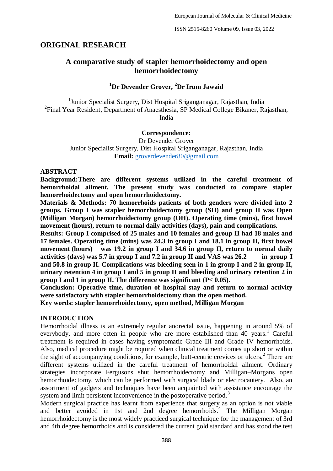# **ORIGINAL RESEARCH**

# **A comparative study of stapler hemorrhoidectomy and open hemorrhoidectomy**

## **<sup>1</sup>Dr Devender Grover, <sup>2</sup>Dr Irum Jawaid**

<sup>1</sup>Junior Specialist Surgery, Dist Hospital Sriganganagar, Rajasthan, India <sup>2</sup>Final Year Resident, Department of Anaesthesia, SP Medical College Bikaner, Rajasthan, India

#### **Correspondence:**

Dr Devender Grover Junior Specialist Surgery, Dist Hospital Sriganganagar, Rajasthan, India **Email:** [groverdevender80@gmail.com](mailto:groverdevender80@gmail.com)

#### **ABSTRACT**

**Background:There are different systems utilized in the careful treatment of hemorrhoidal ailment. The present study was conducted to compare stapler hemorrhoidectomy and open hemorrhoidectomy.**

**Materials & Methods: 70 hemorrhoids patients of both genders were divided into 2 groups. Group I was stapler hemorrhoidectomy group (SH) and group II was Open (Milligan Morgan) hemorrhoidectomy group (OH). Operating time (mins), first bowel movement (hours), return to normal daily activities (days), pain and complications.**

**Results: Group I comprised of 25 males and 10 females and group II had 18 males and 17 females. Operating time (mins) was 24.3 in group I and 18.1 in group II, first bowel movement (hours) was 19.2 in group I and 34.6 in group II, return to normal daily activities (days) was 5.7 in group I and 7.2 in group II and VAS was 26.2 in group I and 50.8 in group II. Complications was bleeding seen in 1 in group I and 2 in group II, urinary retention 4 in group I and 5 in group II and bleeding and urinary retention 2 in group I and 1 in group II. The difference was significant (P< 0.05).**

**Conclusion: Operative time, duration of hospital stay and return to normal activity were satisfactory with stapler hemorrhoidectomy than the open method.**

**Key words: stapler hemorrhoidectomy, open method, Milligan Morgan**

## **INTRODUCTION**

Hemorrhoidal illness is an extremely regular anorectal issue, happening in around 5% of everybody, and more often in people who are more established than  $40$  years.<sup>1</sup> Careful treatment is required in cases having symptomatic Grade III and Grade IV hemorrhoids. Also, medical procedure might be required when clinical treatment comes up short or within the sight of accompanying conditions, for example, butt-centric crevices or ulcers.<sup>2</sup> There are different systems utilized in the careful treatment of hemorrhoidal ailment. Ordinary strategies incorporate Fergusons shut hemorrhoidectomy and Milligan–Morgans open hemorrhoidectomy, which can be performed with surgical blade or electrocautery. Also, an assortment of gadgets and techniques have been acquainted with assistance encourage the system and limit persistent inconvenience in the postoperative period.<sup>3</sup>

Modern surgical practice has learnt from experience that surgery as an option is not viable and better avoided in 1st and 2nd degree hemorrhoids.<sup>4</sup> The Milligan Morgan hemorrhoidectomy is the most widely practiced surgical technique for the management of 3rd and 4th degree hemorrhoids and is considered the current gold standard and has stood the test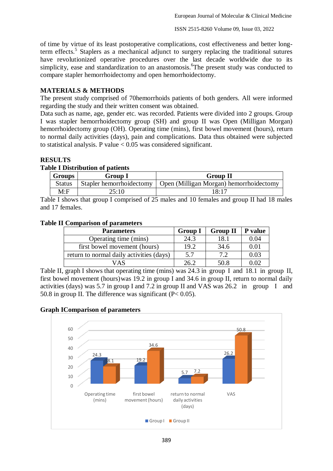of time by virtue of its least postoperative complications, cost effectiveness and better longterm effects.<sup>5</sup> Staplers as a mechanical adjunct to surgery replacing the traditional sutures have revolutionized operative procedures over the last decade worldwide due to its simplicity, ease and standardization to an anastomosis. The present study was conducted to compare stapler hemorrhoidectomy and open hemorrhoidectomy.

## **MATERIALS & METHODS**

The present study comprised of 70hemorrhoids patients of both genders. All were informed regarding the study and their written consent was obtained.

Data such as name, age, gender etc. was recorded. Patients were divided into 2 groups. Group I was stapler hemorrhoidectomy group (SH) and group II was Open (Milligan Morgan) hemorrhoidectomy group (OH). Operating time (mins), first bowel movement (hours), return to normal daily activities (days), pain and complications. Data thus obtained were subjected to statistical analysis. P value  $< 0.05$  was considered significant.

# **RESULTS**

### **Table I Distribution of patients**

| <b>Groups</b> | Group 1 | Group II                                                           |  |  |
|---------------|---------|--------------------------------------------------------------------|--|--|
| <b>Status</b> |         | Stapler hemorrhoidectomy   Open (Milligan Morgan) hemorrhoidectomy |  |  |
| M:F           | 25:10   | 18:17                                                              |  |  |

Table I shows that group I comprised of 25 males and 10 females and group II had 18 males and 17 females.

### **Table II Comparison of parameters**

| <b>Parameters</b>                        | <b>Group I</b> | <b>Group II</b> | P value |
|------------------------------------------|----------------|-----------------|---------|
| Operating time (mins)                    | 24.3           | 18.1            | 0.04    |
| first bowel movement (hours)             | 19.2           | 34.6            | 0.01    |
| return to normal daily activities (days) | 5.7            | 7.2             | 0.03    |
| JAS                                      | 26.2           | 50.8            | 0.02    |

Table II, graph I shows that operating time (mins) was 24.3 in group I and 18.1 in group II, first bowel movement (hours)was 19.2 in group I and 34.6 in group II, return to normal daily activities (days) was 5.7 in group I and 7.2 in group II and VAS was 26.2 in group I and 50.8 in group II. The difference was significant  $(P< 0.05)$ .

#### **Graph IComparison of parameters**

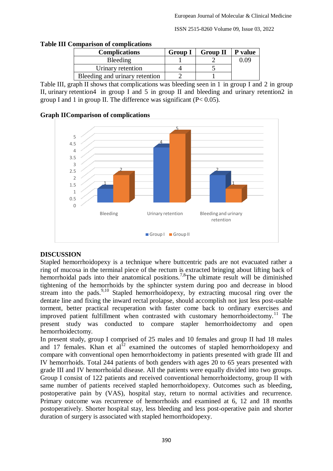ISSN 2515-8260 Volume 09, Issue 03, 2022

| <b>Complications</b>           | <b>Group I</b> | <b>Group II</b> | <b>P</b> value |
|--------------------------------|----------------|-----------------|----------------|
| <b>Bleeding</b>                |                |                 | 0.09           |
| Urinary retention              |                |                 |                |
| Bleeding and urinary retention |                |                 |                |

Table III, graph II shows that complications was bleeding seen in 1 in group I and 2 in group II, urinary retention4 in group I and 5 in group II and bleeding and urinary retention2 in group I and 1 in group II. The difference was significant  $(P< 0.05)$ .

## **Graph IIComparison of complications**



## **DISCUSSION**

Stapled hemorrhoidopexy is a technique where buttcentric pads are not evacuated rather a ring of mucosa in the terminal piece of the rectum is extracted bringing about lifting back of hemorrhoidal pads into their anatomical positions.<sup>7,8</sup>The ultimate result will be diminished tightening of the hemorrhoids by the sphincter system during poo and decrease in blood stream into the pads.<sup>9,10</sup> Stapled hemorrhoidopexy, by extracting mucosal ring over the dentate line and fixing the inward rectal prolapse, should accomplish not just less post-usable torment, better practical recuperation with faster come back to ordinary exercises and improved patient fulfillment when contrasted with customary hemorrhoidectomy.<sup>11</sup> The present study was conducted to compare stapler hemorrhoidectomy and open hemorrhoidectomy.

In present study, group I comprised of 25 males and 10 females and group II had 18 males and 17 females. Khan et  $al<sup>12</sup>$  examined the outcomes of stapled hemorrhoidopexy and compare with conventional open hemorrhoidectomy in patients presented with grade III and IV hemorrhoids. Total 244 patients of both genders with ages 20 to 65 years presented with grade III and IV hemorrhoidal disease. All the patients were equally divided into two groups. Group I consist of 122 patients and received conventional hemorrhoidectomy, group II with same number of patients received stapled hemorrhoidopexy. Outcomes such as bleeding, postoperative pain by (VAS), hospital stay, return to normal activities and recurrence. Primary outcome was recurrence of hemorrhoids and examined at 6, 12 and 18 months postoperatively. Shorter hospital stay, less bleeding and less post-operative pain and shorter duration of surgery is associated with stapled hemorrhoidopexy.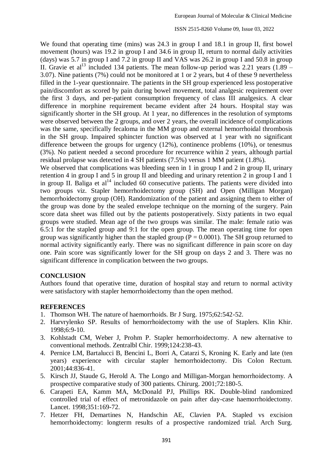ISSN 2515-8260 Volume 09, Issue 03, 2022

We found that operating time (mins) was 24.3 in group I and 18.1 in group II, first bowel movement (hours) was 19.2 in group I and 34.6 in group II, return to normal daily activities (days) was 5.7 in group I and 7.2 in group II and VAS was 26.2 in group I and 50.8 in group II. Gravie et al<sup>13</sup> included 134 patients. The mean follow-up period was 2.21 years (1.89 – 3.07). Nine patients (7%) could not be monitored at 1 or 2 years, but 4 of these 9 nevertheless filled in the 1-year questionnaire. The patients in the SH group experienced less postoperative pain/discomfort as scored by pain during bowel movement, total analgesic requirement over the first 3 days, and per-patient consumption frequency of class III analgesics. A clear difference in morphine requirement became evident after 24 hours. Hospital stay was significantly shorter in the SH group. At 1 year, no differences in the resolution of symptoms were observed between the 2 groups, and over 2 years, the overall incidence of complications was the same, specifically fecaloma in the MM group and external hemorrhoidal thrombosis in the SH group. Impaired sphincter function was observed at 1 year with no significant difference between the groups for urgency (12%), continence problems (10%), or tenesmus (3%). No patient needed a second procedure for recurrence within 2 years, although partial residual prolapse was detected in 4 SH patients (7.5%) versus 1 MM patient (1.8%).

We observed that complications was bleeding seen in 1 in group I and 2 in group II, urinary retention 4 in group I and 5 in group II and bleeding and urinary retention 2 in group I and 1 in group II. Baliga et  $al<sup>14</sup>$  included 60 consecutive patients. The patients were divided into two groups viz. Stapler hemorrhoidectomy group (SH) and Open (Milligan Morgan) hemorrhoidectomy group (OH). Randomization of the patient and assigning them to either of the group was done by the sealed envelope technique on the morning of the surgery. Pain score data sheet was filled out by the patients postoperatively. Sixty patients in two equal groups were studied. Mean age of the two groups was similar. The male: female ratio was 6.5:1 for the stapled group and 9:1 for the open group. The mean operating time for open group was significantly higher than the stapled group ( $P = 0.0001$ ). The SH group returned to normal activity significantly early. There was no significant difference in pain score on day one. Pain score was significantly lower for the SH group on days 2 and 3. There was no significant difference in complication between the two groups.

## **CONCLUSION**

Authors found that operative time, duration of hospital stay and return to normal activity were satisfactory with stapler hemorrhoidectomy than the open method.

### **REFERENCES**

- 1. Thomson WH. The nature of haemorrhoids. Br J Surg. 1975;62:542-52.
- 2. Harvrylenko SP. Results of hemorrhoidectomy with the use of Staplers. Klin Khir. 1998;6:9-10.
- 3. Kohlstadt CM, Weber J, Prohm P. Stapler hemorrhoidectomy. A new alternative to conventional methods. Zentralbl Chir. 1999;124:238-43.
- 4. Pernice LM, Bartalucci B, Bencini L, Borri A, Catarzi S, Kroning K. Early and late (ten years) experience with circular stapler hemorrhoidectomy. Dis Colon Rectum. 2001;44:836-41.
- 5. Kirsch JJ, Staude G, Herold A. The Longo and Milligan-Morgan hemorrhoidectomy. A prospective comparative study of 300 patients. Chirurg. 2001;72:180-5.
- 6. Carapeti EA, Kamm MA, McDonald PJ, Phillips RK. Double-blind randomized controlled trial of effect of metronidazole on pain after day-case haemorrhoidectomy. Lancet. 1998;351:169-72.
- 7. Hetzer FH, Demartines N, Handschin AE, Clavien PA. Stapled vs excision hemorrhoidectomy: longterm results of a prospective randomized trial. Arch Surg.